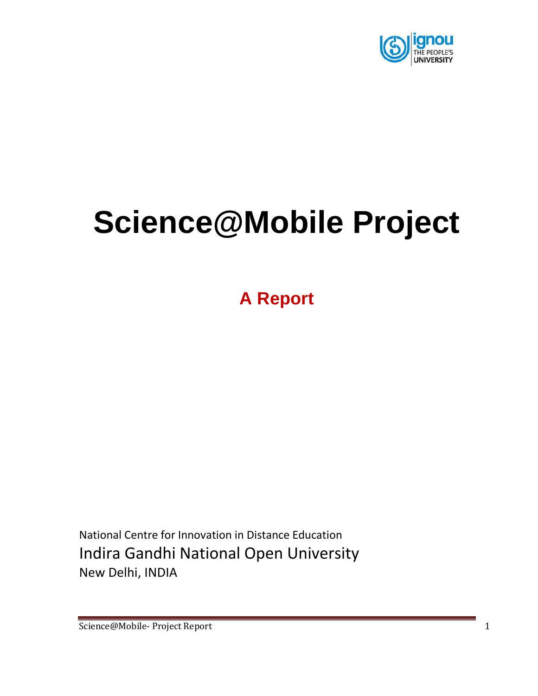

# **Science@Mobile Project**

**A Report**

National Centre for Innovation in Distance Education Indira Gandhi National Open University New Delhi, INDIA

Science@Mobile- Project Report 1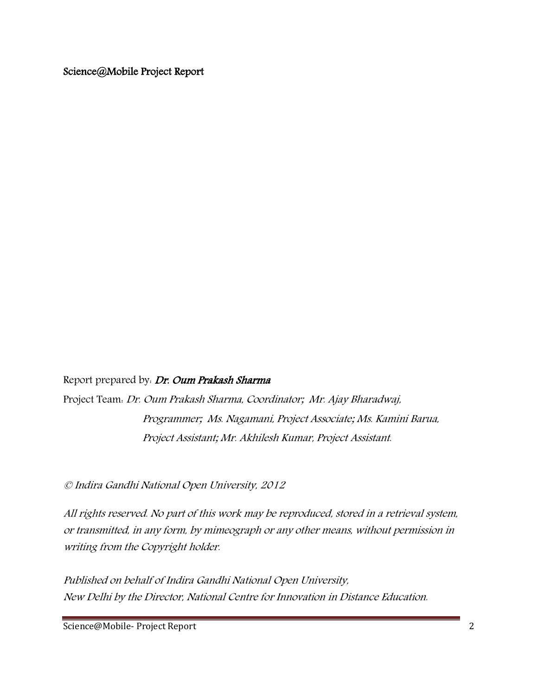Science@Mobile Project Report

Report prepared by. Dr. Oum Prakash Sharma

Project Team: Dr. Oum Prakash Sharma, Coordinator; Mr. Ajay Bharadwaj, Programmer; Ms. Nagamani, Project Associate; Ms. Kamini Barua, Project Assistant; Mr. Akhilesh Kumar, Project Assistant.

© Indira Gandhi National Open University, 2012

All rights reserved. No part of this work may be reproduced, stored in a retrieval system, or transmitted, in any form, by mimeograph or any other means, without permission in writing from the Copyright holder.

Published on behalf of Indira Gandhi National Open University, New Delhi by the Director, National Centre for Innovation in Distance Education.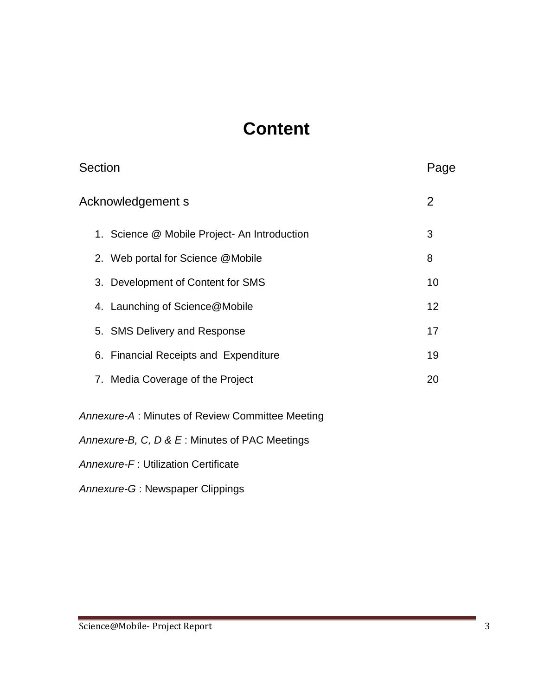### **Content**

| Section                                          | Page           |
|--------------------------------------------------|----------------|
| Acknowledgement s                                | $\overline{2}$ |
| 1. Science @ Mobile Project- An Introduction     | 3              |
| 2. Web portal for Science @Mobile                | 8              |
| 3. Development of Content for SMS                | 10             |
| 4. Launching of Science@Mobile                   | 12             |
| 5. SMS Delivery and Response                     | 17             |
| 6. Financial Receipts and Expenditure            | 19             |
| 7. Media Coverage of the Project                 | 20             |
| Annexure-A : Minutes of Review Committee Meeting |                |
| Annexure-B, C, D & E: Minutes of PAC Meetings    |                |
| Annexure-F: Utilization Certificate              |                |

*Annexure-G* : Newspaper Clippings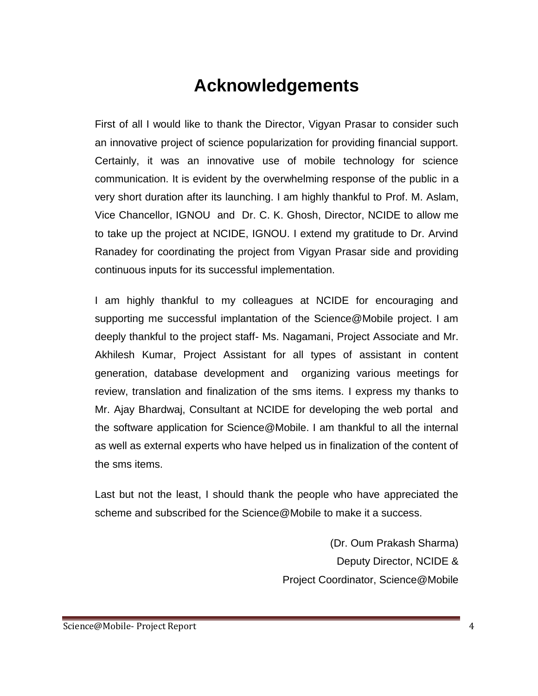### **Acknowledgements**

First of all I would like to thank the Director, Vigyan Prasar to consider such an innovative project of science popularization for providing financial support. Certainly, it was an innovative use of mobile technology for science communication. It is evident by the overwhelming response of the public in a very short duration after its launching. I am highly thankful to Prof. M. Aslam, Vice Chancellor, IGNOU and Dr. C. K. Ghosh, Director, NCIDE to allow me to take up the project at NCIDE, IGNOU. I extend my gratitude to Dr. Arvind Ranadey for coordinating the project from Vigyan Prasar side and providing continuous inputs for its successful implementation.

I am highly thankful to my colleagues at NCIDE for encouraging and supporting me successful implantation of the Science@Mobile project. I am deeply thankful to the project staff- Ms. Nagamani, Project Associate and Mr. Akhilesh Kumar, Project Assistant for all types of assistant in content generation, database development and organizing various meetings for review, translation and finalization of the sms items. I express my thanks to Mr. Ajay Bhardwaj, Consultant at NCIDE for developing the web portal and the software application for Science@Mobile. I am thankful to all the internal as well as external experts who have helped us in finalization of the content of the sms items.

Last but not the least, I should thank the people who have appreciated the scheme and subscribed for the Science@Mobile to make it a success.

> (Dr. Oum Prakash Sharma) Deputy Director, NCIDE & Project Coordinator, Science@Mobile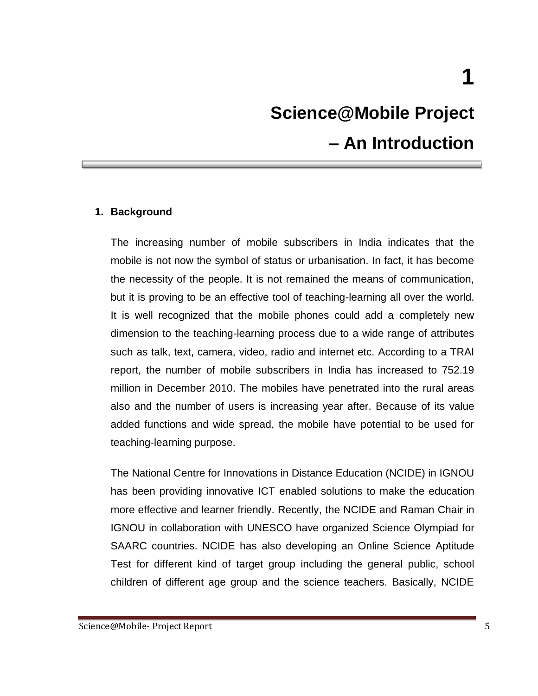## **Science@Mobile Project – An Introduction**

#### **1. Background**

The increasing number of mobile subscribers in India indicates that the mobile is not now the symbol of status or urbanisation. In fact, it has become the necessity of the people. It is not remained the means of communication, but it is proving to be an effective tool of teaching-learning all over the world. It is well recognized that the mobile phones could add a completely new dimension to the teaching-learning process due to a wide range of attributes such as talk, text, camera, video, radio and internet etc. According to a TRAI report, the number of mobile subscribers in India has increased to 752.19 million in December 2010. The mobiles have penetrated into the rural areas also and the number of users is increasing year after. Because of its value added functions and wide spread, the mobile have potential to be used for teaching-learning purpose.

The National Centre for Innovations in Distance Education (NCIDE) in IGNOU has been providing innovative ICT enabled solutions to make the education more effective and learner friendly. Recently, the NCIDE and Raman Chair in IGNOU in collaboration with UNESCO have organized Science Olympiad for SAARC countries. NCIDE has also developing an Online Science Aptitude Test for different kind of target group including the general public, school children of different age group and the science teachers. Basically, NCIDE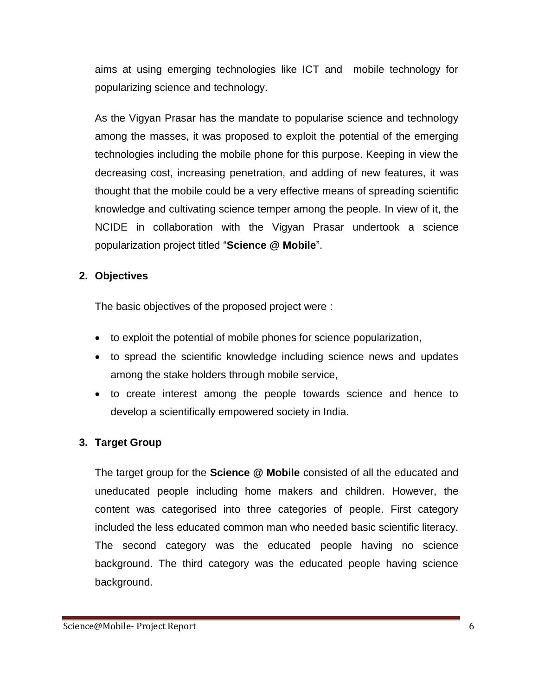aims at using emerging technologies like ICT and mobile technology for popularizing science and technology.

As the Vigyan Prasar has the mandate to popularise science and technology among the masses, it was proposed to exploit the potential of the emerging technologies including the mobile phone for this purpose. Keeping in view the decreasing cost, increasing penetration, and adding of new features, it was thought that the mobile could be a very effective means of spreading scientific knowledge and cultivating science temper among the people. In view of it, the NCIDE in collaboration with the Vigyan Prasar undertook a science popularization project titled "**Science @ Mobile**".

#### **2. Objectives**

The basic objectives of the proposed project were :

- to exploit the potential of mobile phones for science popularization,
- to spread the scientific knowledge including science news and updates among the stake holders through mobile service,
- to create interest among the people towards science and hence to develop a scientifically empowered society in India.

#### **3. Target Group**

The target group for the **Science @ Mobile** consisted of all the educated and uneducated people including home makers and children. However, the content was categorised into three categories of people. First category included the less educated common man who needed basic scientific literacy. The second category was the educated people having no science background. The third category was the educated people having science background.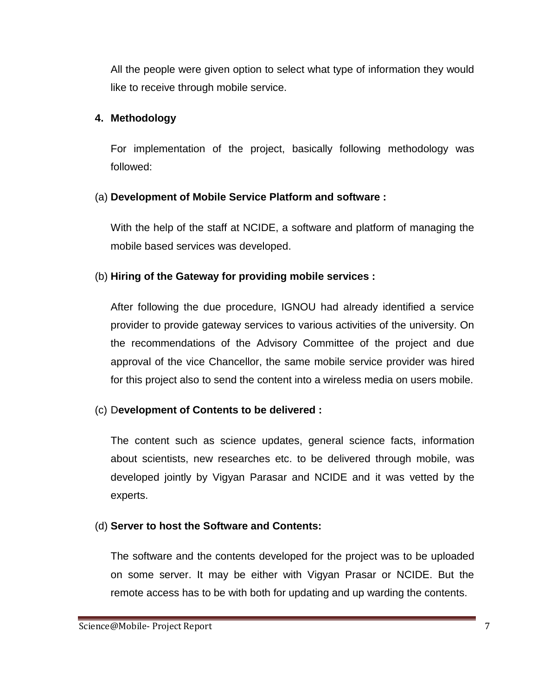All the people were given option to select what type of information they would like to receive through mobile service.

#### **4. Methodology**

For implementation of the project, basically following methodology was followed:

#### (a) **Development of Mobile Service Platform and software :**

With the help of the staff at NCIDE, a software and platform of managing the mobile based services was developed.

#### (b) **Hiring of the Gateway for providing mobile services :**

After following the due procedure, IGNOU had already identified a service provider to provide gateway services to various activities of the university. On the recommendations of the Advisory Committee of the project and due approval of the vice Chancellor, the same mobile service provider was hired for this project also to send the content into a wireless media on users mobile.

#### (c) D**evelopment of Contents to be delivered :**

The content such as science updates, general science facts, information about scientists, new researches etc. to be delivered through mobile, was developed jointly by Vigyan Parasar and NCIDE and it was vetted by the experts.

#### (d) **Server to host the Software and Contents:**

The software and the contents developed for the project was to be uploaded on some server. It may be either with Vigyan Prasar or NCIDE. But the remote access has to be with both for updating and up warding the contents.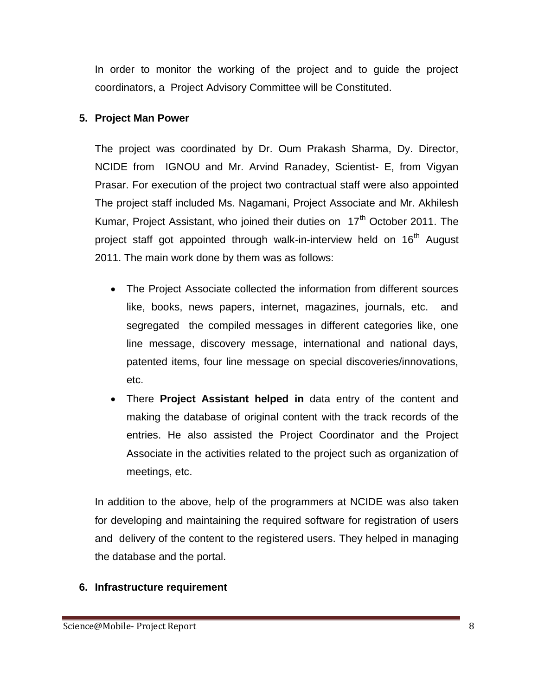In order to monitor the working of the project and to guide the project coordinators, a Project Advisory Committee will be Constituted.

#### **5. Project Man Power**

The project was coordinated by Dr. Oum Prakash Sharma, Dy. Director, NCIDE from IGNOU and Mr. Arvind Ranadey, Scientist- E, from Vigyan Prasar. For execution of the project two contractual staff were also appointed The project staff included Ms. Nagamani, Project Associate and Mr. Akhilesh Kumar, Project Assistant, who joined their duties on  $17<sup>th</sup>$  October 2011. The project staff got appointed through walk-in-interview held on 16<sup>th</sup> August 2011. The main work done by them was as follows:

- The Project Associate collected the information from different sources like, books, news papers, internet, magazines, journals, etc. and segregated the compiled messages in different categories like, one line message, discovery message, international and national days, patented items, four line message on special discoveries/innovations, etc.
- There **Project Assistant helped in** data entry of the content and making the database of original content with the track records of the entries. He also assisted the Project Coordinator and the Project Associate in the activities related to the project such as organization of meetings, etc.

In addition to the above, help of the programmers at NCIDE was also taken for developing and maintaining the required software for registration of users and delivery of the content to the registered users. They helped in managing the database and the portal.

#### **6. Infrastructure requirement**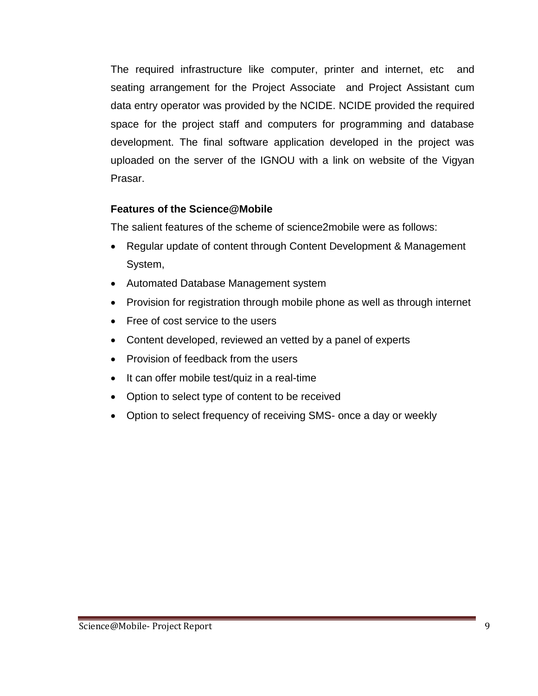The required infrastructure like computer, printer and internet, etc and seating arrangement for the Project Associate and Project Assistant cum data entry operator was provided by the NCIDE. NCIDE provided the required space for the project staff and computers for programming and database development. The final software application developed in the project was uploaded on the server of the IGNOU with a link on website of the Vigyan Prasar.

#### **Features of the Science@Mobile**

The salient features of the scheme of science2mobile were as follows:

- Regular update of content through Content Development & Management System,
- Automated Database Management system
- Provision for registration through mobile phone as well as through internet
- Free of cost service to the users
- Content developed, reviewed an vetted by a panel of experts
- Provision of feedback from the users
- $\bullet$  It can offer mobile test/quiz in a real-time
- Option to select type of content to be received
- Option to select frequency of receiving SMS- once a day or weekly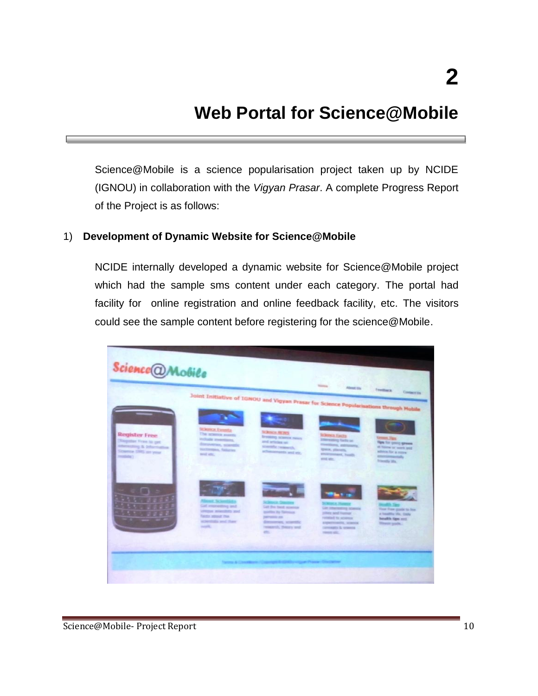### **Web Portal for Science@Mobile**

Science@Mobile is a science popularisation project taken up by NCIDE (IGNOU) in collaboration with the *Vigyan Prasar*. A complete Progress Report of the Project is as follows:

#### 1) **Development of Dynamic Website for Science@Mobile**

NCIDE internally developed a dynamic website for Science@Mobile project which had the sample sms content under each category. The portal had facility for online registration and online feedback facility, etc. The visitors could see the sample content before registering for the science@Mobile.

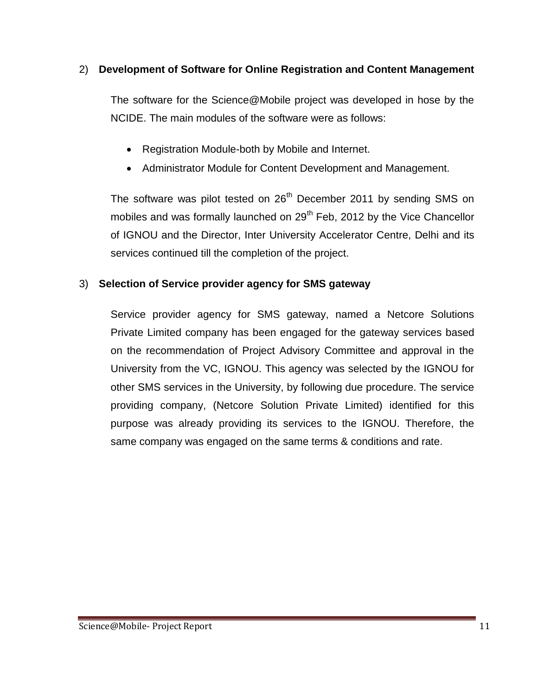#### 2) **Development of Software for Online Registration and Content Management**

The software for the Science@Mobile project was developed in hose by the NCIDE. The main modules of the software were as follows:

- Registration Module-both by Mobile and Internet.
- Administrator Module for Content Development and Management.

The software was pilot tested on 26<sup>th</sup> December 2011 by sending SMS on mobiles and was formally launched on 29<sup>th</sup> Feb, 2012 by the Vice Chancellor of IGNOU and the Director, Inter University Accelerator Centre, Delhi and its services continued till the completion of the project.

#### 3) **Selection of Service provider agency for SMS gateway**

Service provider agency for SMS gateway, named a Netcore Solutions Private Limited company has been engaged for the gateway services based on the recommendation of Project Advisory Committee and approval in the University from the VC, IGNOU. This agency was selected by the IGNOU for other SMS services in the University, by following due procedure. The service providing company, (Netcore Solution Private Limited) identified for this purpose was already providing its services to the IGNOU. Therefore, the same company was engaged on the same terms & conditions and rate.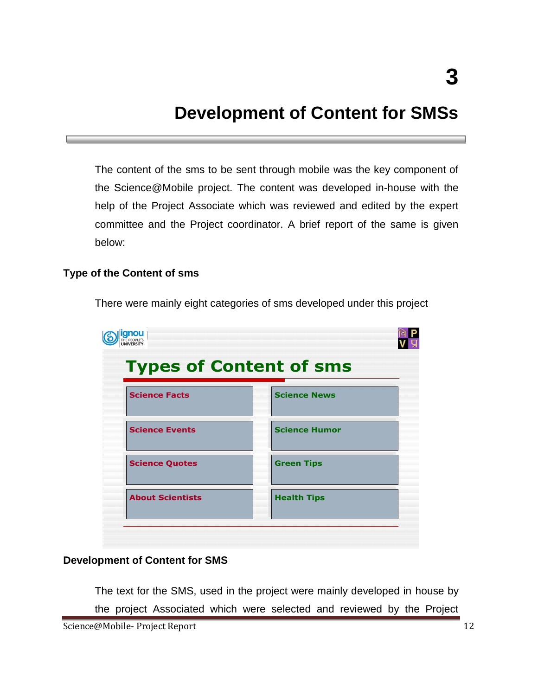### **Development of Content for SMSs**

The content of the sms to be sent through mobile was the key component of the Science@Mobile project. The content was developed in-house with the help of the Project Associate which was reviewed and edited by the expert committee and the Project coordinator. A brief report of the same is given below:

#### **Type of the Content of sms**



There were mainly eight categories of sms developed under this project

#### **Development of Content for SMS**

The text for the SMS, used in the project were mainly developed in house by the project Associated which were selected and reviewed by the Project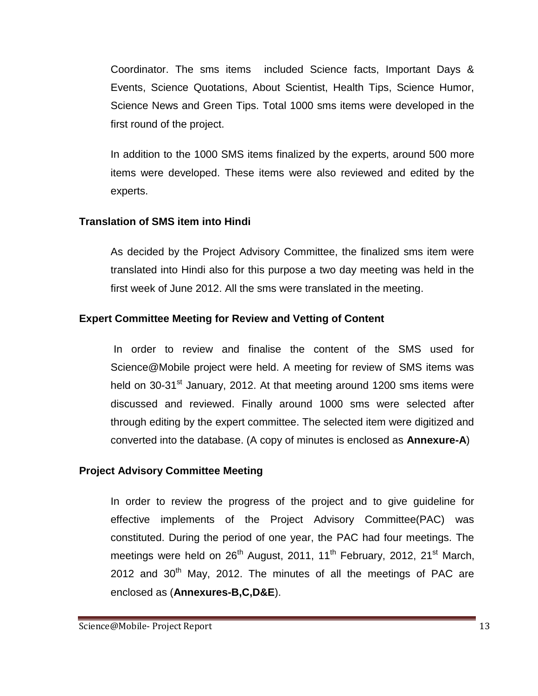Coordinator. The sms items included Science facts, Important Days & Events, Science Quotations, About Scientist, Health Tips, Science Humor, Science News and Green Tips. Total 1000 sms items were developed in the first round of the project.

In addition to the 1000 SMS items finalized by the experts, around 500 more items were developed. These items were also reviewed and edited by the experts.

#### **Translation of SMS item into Hindi**

As decided by the Project Advisory Committee, the finalized sms item were translated into Hindi also for this purpose a two day meeting was held in the first week of June 2012. All the sms were translated in the meeting.

#### **Expert Committee Meeting for Review and Vetting of Content**

In order to review and finalise the content of the SMS used for Science@Mobile project were held. A meeting for review of SMS items was held on 30-31<sup>st</sup> January, 2012. At that meeting around 1200 sms items were discussed and reviewed. Finally around 1000 sms were selected after through editing by the expert committee. The selected item were digitized and converted into the database. (A copy of minutes is enclosed as **Annexure-A**)

#### **Project Advisory Committee Meeting**

In order to review the progress of the project and to give guideline for effective implements of the Project Advisory Committee(PAC) was constituted. During the period of one year, the PAC had four meetings. The meetings were held on  $26<sup>th</sup>$  August, 2011, 11<sup>th</sup> February, 2012, 21<sup>st</sup> March,  $2012$  and  $30<sup>th</sup>$  May, 2012. The minutes of all the meetings of PAC are enclosed as (**Annexures-B,C,D&E**).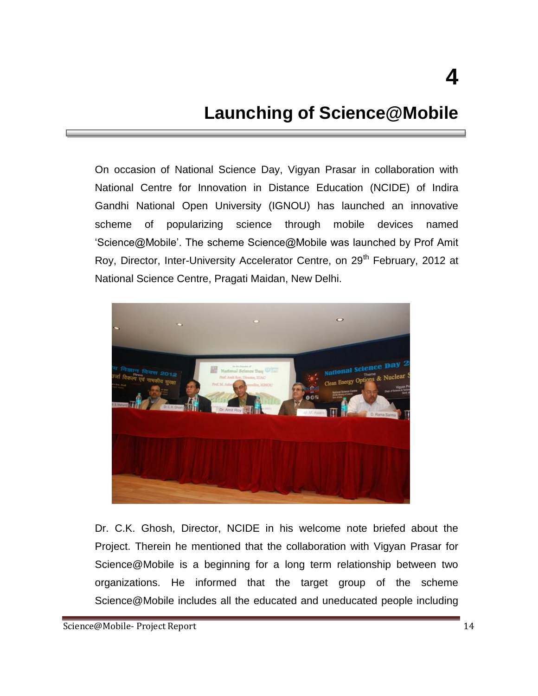### **Launching of Science@Mobile**

On occasion of National Science Day, Vigyan Prasar in collaboration with National Centre for Innovation in Distance Education (NCIDE) of Indira Gandhi National Open University (IGNOU) has launched an innovative scheme of popularizing science through mobile devices named 'Science@Mobile'. The scheme Science@Mobile was launched by Prof Amit Roy, Director, Inter-University Accelerator Centre, on 29<sup>th</sup> February, 2012 at National Science Centre, Pragati Maidan, New Delhi.



Dr. C.K. Ghosh, Director, NCIDE in his welcome note briefed about the Project. Therein he mentioned that the collaboration with Vigyan Prasar for Science@Mobile is a beginning for a long term relationship between two organizations. He informed that the target group of the scheme Science@Mobile includes all the educated and uneducated people including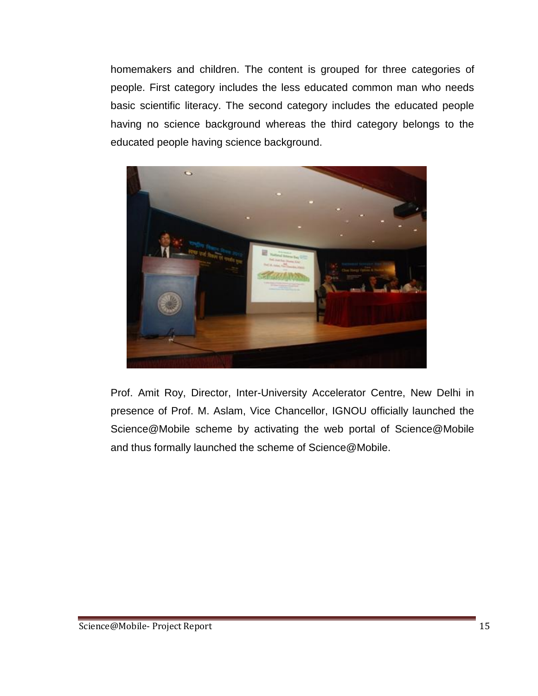homemakers and children. The content is grouped for three categories of people. First category includes the less educated common man who needs basic scientific literacy. The second category includes the educated people having no science background whereas the third category belongs to the educated people having science background.



Prof. Amit Roy, Director, Inter-University Accelerator Centre, New Delhi in presence of Prof. M. Aslam, Vice Chancellor, IGNOU officially launched the Science@Mobile scheme by activating the web portal of Science@Mobile and thus formally launched the scheme of Science@Mobile.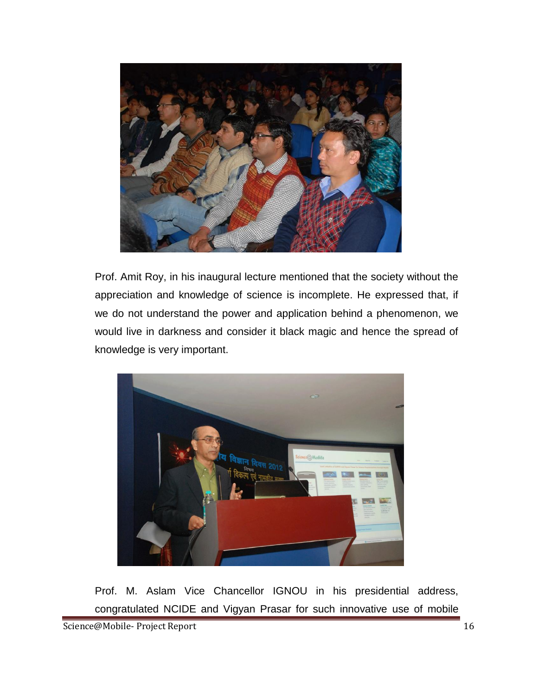

Prof. Amit Roy, in his inaugural lecture mentioned that the society without the appreciation and knowledge of science is incomplete. He expressed that, if we do not understand the power and application behind a phenomenon, we would live in darkness and consider it black magic and hence the spread of knowledge is very important.



Prof. M. Aslam Vice Chancellor IGNOU in his presidential address, congratulated NCIDE and Vigyan Prasar for such innovative use of mobile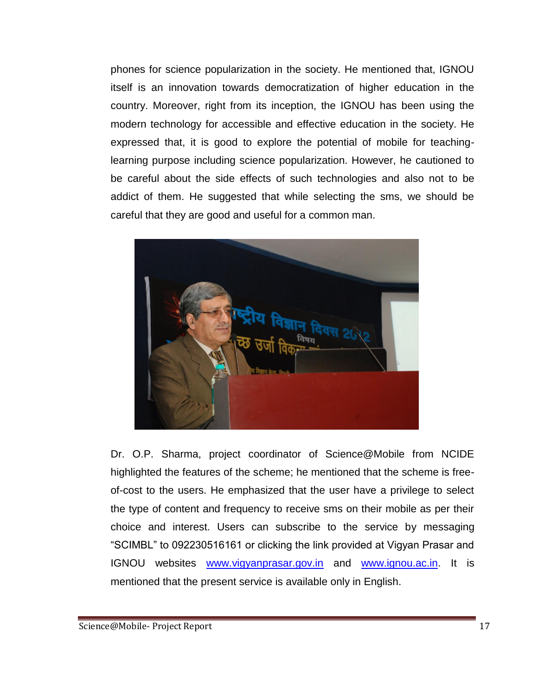phones for science popularization in the society. He mentioned that, IGNOU itself is an innovation towards democratization of higher education in the country. Moreover, right from its inception, the IGNOU has been using the modern technology for accessible and effective education in the society. He expressed that, it is good to explore the potential of mobile for teachinglearning purpose including science popularization. However, he cautioned to be careful about the side effects of such technologies and also not to be addict of them. He suggested that while selecting the sms, we should be careful that they are good and useful for a common man.



Dr. O.P. Sharma, project coordinator of Science@Mobile from NCIDE highlighted the features of the scheme; he mentioned that the scheme is freeof-cost to the users. He emphasized that the user have a privilege to select the type of content and frequency to receive sms on their mobile as per their choice and interest. Users can subscribe to the service by messaging "SCIMBL" to 092230516161 or clicking the link provided at Vigyan Prasar and IGNOU websites [www.vigyanprasar.gov.in](http://www.vigyanprasar.gov.in/) and [www.ignou.ac.in.](http://www.ignou.ac.in/) It is mentioned that the present service is available only in English.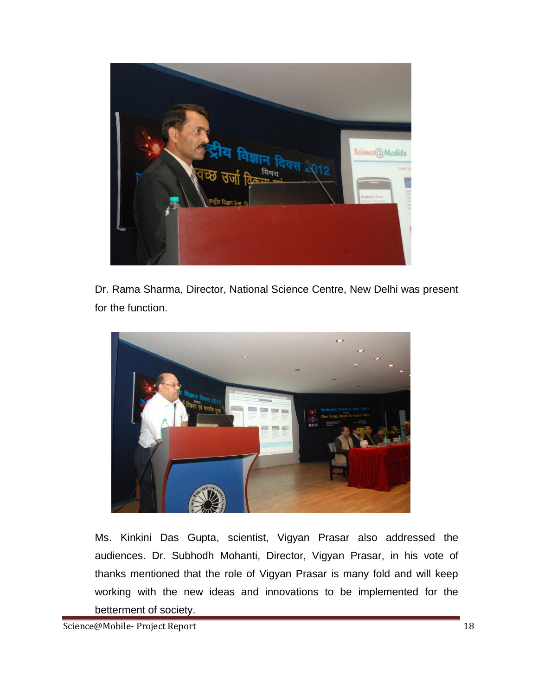

Dr. Rama Sharma, Director, National Science Centre, New Delhi was present for the function.



Ms. Kinkini Das Gupta, scientist, Vigyan Prasar also addressed the audiences. Dr. Subhodh Mohanti, Director, Vigyan Prasar, in his vote of thanks mentioned that the role of Vigyan Prasar is many fold and will keep working with the new ideas and innovations to be implemented for the betterment of society.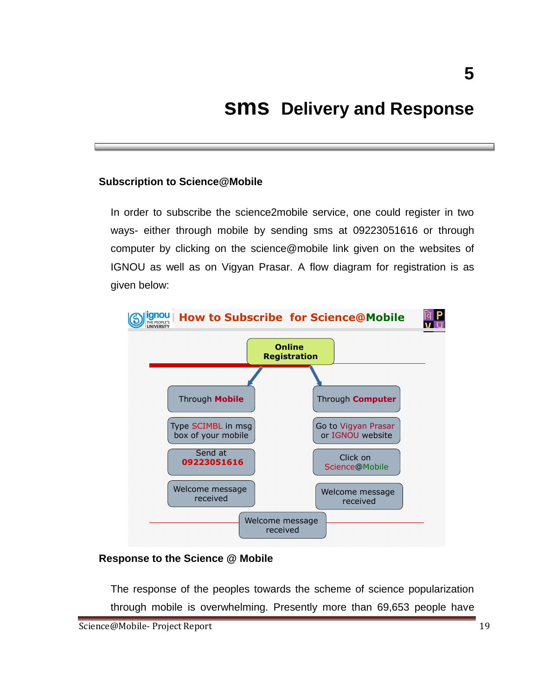### **sms Delivery and Response**

#### **Subscription to Science@Mobile**

In order to subscribe the science2mobile service, one could register in two ways- either through mobile by sending sms at 09223051616 or through computer by clicking on the science@mobile link given on the websites of IGNOU as well as on Vigyan Prasar. A flow diagram for registration is as given below:



#### **Response to the Science @ Mobile**

The response of the peoples towards the scheme of science popularization through mobile is overwhelming. Presently more than 69,653 people have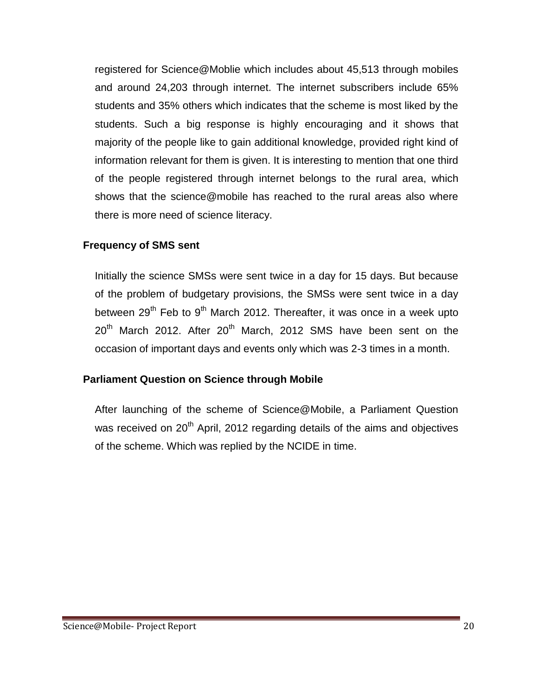registered for Science@Moblie which includes about 45,513 through mobiles and around 24,203 through internet. The internet subscribers include 65% students and 35% others which indicates that the scheme is most liked by the students. Such a big response is highly encouraging and it shows that majority of the people like to gain additional knowledge, provided right kind of information relevant for them is given. It is interesting to mention that one third of the people registered through internet belongs to the rural area, which shows that the science@mobile has reached to the rural areas also where there is more need of science literacy.

#### **Frequency of SMS sent**

Initially the science SMSs were sent twice in a day for 15 days. But because of the problem of budgetary provisions, the SMSs were sent twice in a day between 29<sup>th</sup> Feb to 9<sup>th</sup> March 2012. Thereafter, it was once in a week upto  $20<sup>th</sup>$  March 2012. After  $20<sup>th</sup>$  March, 2012 SMS have been sent on the occasion of important days and events only which was 2-3 times in a month.

#### **Parliament Question on Science through Mobile**

After launching of the scheme of Science@Mobile, a Parliament Question was received on 20<sup>th</sup> April, 2012 regarding details of the aims and objectives of the scheme. Which was replied by the NCIDE in time.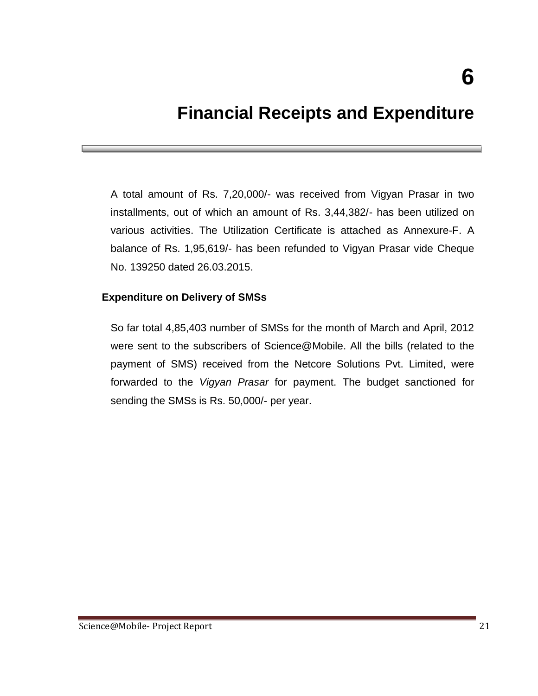### **Financial Receipts and Expenditure**

A total amount of Rs. 7,20,000/- was received from Vigyan Prasar in two installments, out of which an amount of Rs. 3,44,382/- has been utilized on various activities. The Utilization Certificate is attached as Annexure-F. A balance of Rs. 1,95,619/- has been refunded to Vigyan Prasar vide Cheque No. 139250 dated 26.03.2015.

#### **Expenditure on Delivery of SMSs**

So far total 4,85,403 number of SMSs for the month of March and April, 2012 were sent to the subscribers of Science@Mobile. All the bills (related to the payment of SMS) received from the Netcore Solutions Pvt. Limited, were forwarded to the *Vigyan Prasar* for payment. The budget sanctioned for sending the SMSs is Rs. 50,000/- per year.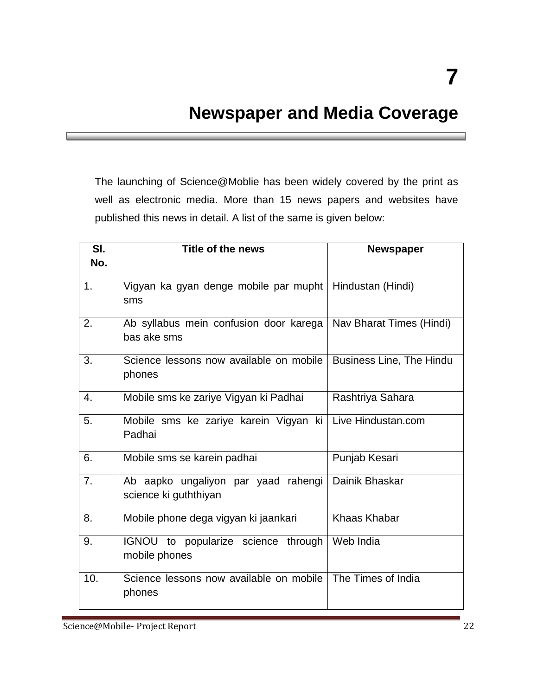### **Newspaper and Media Coverage**

The launching of Science@Moblie has been widely covered by the print as well as electronic media. More than 15 news papers and websites have published this news in detail. A list of the same is given below:

| SI.<br>No.       | Title of the news                                            | <b>Newspaper</b>                |
|------------------|--------------------------------------------------------------|---------------------------------|
| 1.               | Vigyan ka gyan denge mobile par mupht<br>sms                 | Hindustan (Hindi)               |
| 2.               | Ab syllabus mein confusion door karega<br>bas ake sms        | Nav Bharat Times (Hindi)        |
| 3.               | Science lessons now available on mobile<br>phones            | <b>Business Line, The Hindu</b> |
| $\overline{4}$ . | Mobile sms ke zariye Vigyan ki Padhai                        | Rashtriya Sahara                |
| 5.               | Mobile sms ke zariye karein Vigyan ki<br>Padhai              | Live Hindustan.com              |
| 6.               | Mobile sms se karein padhai                                  | Punjab Kesari                   |
| $\overline{7}$ . | Ab aapko ungaliyon par yaad rahengi<br>science ki guththiyan | Dainik Bhaskar                  |
| 8.               | Mobile phone dega vigyan ki jaankari                         | <b>Khaas Khabar</b>             |
| 9.               | IGNOU to popularize science through<br>mobile phones         | Web India                       |
| 10.              | Science lessons now available on mobile<br>phones            | The Times of India              |